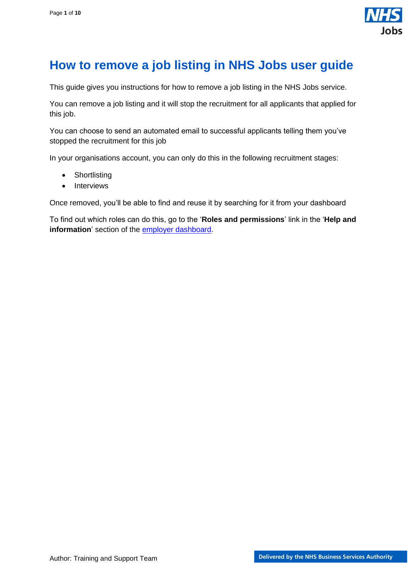

## <span id="page-0-0"></span>**How to remove a job listing in NHS Jobs user guide**

This guide gives you instructions for how to remove a job listing in the NHS Jobs service.

You can remove a job listing and it will stop the recruitment for all applicants that applied for this job.

You can choose to send an automated email to successful applicants telling them you've stopped the recruitment for this job

In your organisations account, you can only do this in the following recruitment stages:

- Shortlisting
- Interviews

Once removed, you'll be able to find and reuse it by searching for it from your dashboard

To find out which roles can do this, go to the '**Roles and permissions**' link in the '**Help and information**' section of the [employer dashboard.](https://beta.jobs.nhs.uk/home)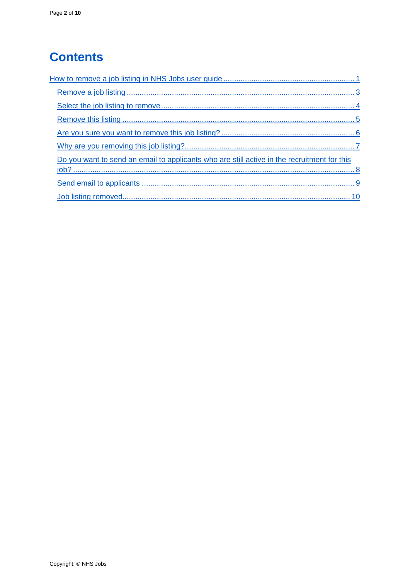# **Contents**

| Do you want to send an email to applicants who are still active in the recruitment for this |
|---------------------------------------------------------------------------------------------|
|                                                                                             |
|                                                                                             |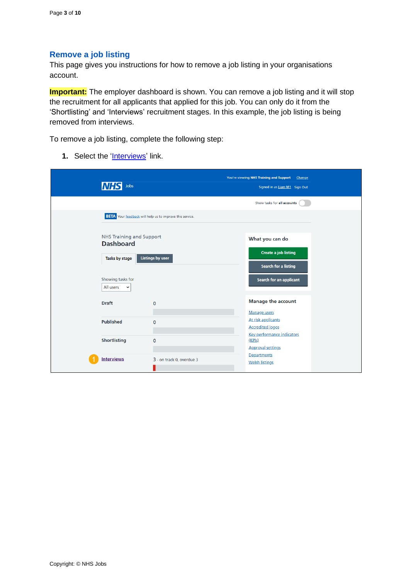### <span id="page-2-0"></span>**Remove a job listing**

This page gives you instructions for how to remove a job listing in your organisations account.

**Important:** The employer dashboard is shown. You can remove a job listing and it will stop the recruitment for all applicants that applied for this job. You can only do it from the 'Shortlisting' and 'Interviews' recruitment stages. In this example, the job listing is being removed from interviews.

To remove a job listing, complete the following step:

**1.** Select the ['Interviews'](#page-3-0) link.

| <b>NHS</b><br>Jobs                            |                                                                 | You're viewing NHS Training and Support<br>Change<br>Signed in as Liam M1 Sign Out |
|-----------------------------------------------|-----------------------------------------------------------------|------------------------------------------------------------------------------------|
|                                               |                                                                 | Show tasks for all accounts                                                        |
|                                               | <b>BETA</b> Your feedback will help us to improve this service. |                                                                                    |
| NHS Training and Support<br><b>Dashboard</b>  |                                                                 | What you can do                                                                    |
| Tasks by stage                                | <b>Listings by user</b>                                         | <b>Create a job listing</b><br><b>Search for a listing</b>                         |
| Showing tasks for<br>All users<br>$\check{~}$ |                                                                 | Search for an applicant                                                            |
| <b>Draft</b>                                  | $\mathbf 0$                                                     | <b>Manage the account</b>                                                          |
|                                               |                                                                 | Manage users                                                                       |
| <b>Published</b>                              | $\mathbf{O}$                                                    | At risk applicants<br><b>Accredited logos</b>                                      |
| <b>Shortlisting</b>                           | $\mathbf 0$                                                     | <b>Key performance indicators</b><br>(KPIs)                                        |
|                                               |                                                                 | <b>Approval settings</b>                                                           |
| <b>Interviews</b>                             | 3 - on track 0, overdue 3                                       | Departments<br><b>Welsh listings</b>                                               |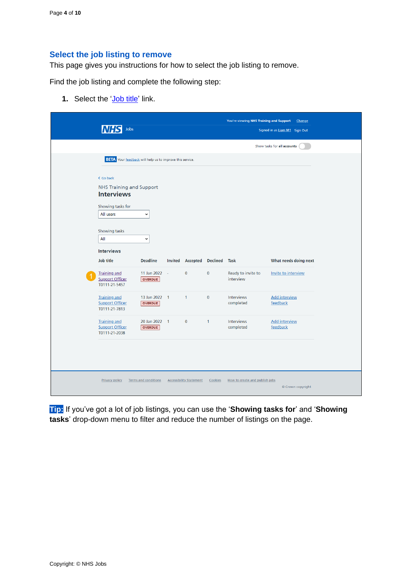#### <span id="page-3-0"></span>**Select the job listing to remove**

This page gives you instructions for how to select the job listing to remove.

Find the job listing and complete the following step:

**1.** Select the ['Job title'](#page-4-0) link.

|                                                                                   | Jobs                                                            |  |                         |                 | You're viewing NHS Training and Support | Change<br>Signed in as Liam M1 Sign Out |
|-----------------------------------------------------------------------------------|-----------------------------------------------------------------|--|-------------------------|-----------------|-----------------------------------------|-----------------------------------------|
|                                                                                   |                                                                 |  |                         |                 |                                         | Show tasks for all accounts             |
|                                                                                   | <b>BETA</b> Your feedback will help us to improve this service. |  |                         |                 |                                         |                                         |
| < Go back<br><b>Interviews</b><br>Showing tasks for<br>All users<br>Showing tasks | <b>NHS Training and Support</b><br>$\check{ }$                  |  |                         |                 |                                         |                                         |
| All<br><b>Interviews</b>                                                          | $\check{ }$                                                     |  |                         |                 |                                         |                                         |
| Job title                                                                         | <b>Deadline</b>                                                 |  | <b>Invited Accepted</b> | <b>Declined</b> | Task                                    | What needs doing next                   |
| <b>Training and</b><br><b>Support Officer</b><br>T0111-21-5457                    | 11 Jan 2022 -<br>OVERDUE                                        |  | $\mathbf{0}$            | $\mathbf{0}$    | Ready to invite to<br>interview         | Invite to interview                     |
| <b>Training and</b><br><b>Support Officer</b><br>T0111-21-7813                    | 13 Jan 2022 1<br><b>OVERDUE</b>                                 |  | $\mathbf{1}$            | $\mathbf{0}$    | Interviews<br>completed                 | <b>Add interview</b><br>feedback        |
| <b>Training and</b><br><b>Support Officer</b><br>T0111-21-2038                    | 20 Jan 2022 1<br>OVERDUE                                        |  | $\mathbf{0}$            | $\mathbf{1}$    | Interviews<br>completed                 | <b>Add interview</b><br>feedback        |
|                                                                                   |                                                                 |  |                         |                 |                                         |                                         |

**Tip:** If you've got a lot of job listings, you can use the '**Showing tasks for**' and '**Showing tasks**' drop-down menu to filter and reduce the number of listings on the page.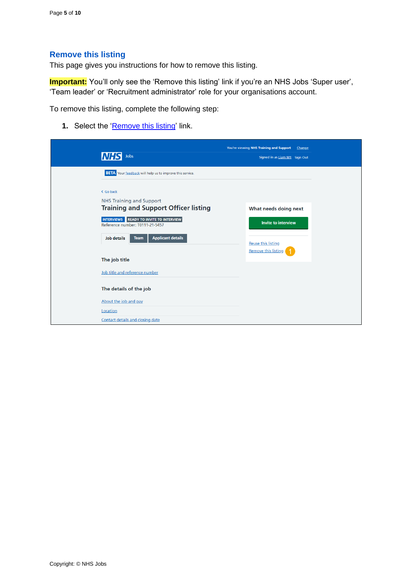#### <span id="page-4-0"></span>**Remove this listing**

This page gives you instructions for how to remove this listing.

**Important:** You'll only see the 'Remove this listing' link if you're an NHS Jobs 'Super user', 'Team leader' or 'Recruitment administrator' role for your organisations account.

To remove this listing, complete the following step:

1. Select the ['Remove this](#page-5-0) listing' link.

| Jobs                                                                           | You're viewing NHS Training and Support<br>Change<br>Signed in as Liam M1 Sign Out |
|--------------------------------------------------------------------------------|------------------------------------------------------------------------------------|
| <b>BETA</b> Your feedback will help us to improve this service.                |                                                                                    |
| < Go back                                                                      |                                                                                    |
| <b>NHS Training and Support</b><br><b>Training and Support Officer listing</b> | What needs doing next                                                              |
| INTERVIEWS READY TO INVITE TO INTERVIEW<br>Reference number: T0111-21-5457     | <b>Invite to interview</b>                                                         |
| <b>Applicant details</b><br><b>Job details</b><br><b>Team</b>                  | <b>Reuse this listing</b>                                                          |
| The job title                                                                  | <b>Remove this listing</b>                                                         |
| Job title and reference number                                                 |                                                                                    |
| The details of the job                                                         |                                                                                    |
| About the job and pay                                                          |                                                                                    |
| Location                                                                       |                                                                                    |
| Contact details and closing date                                               |                                                                                    |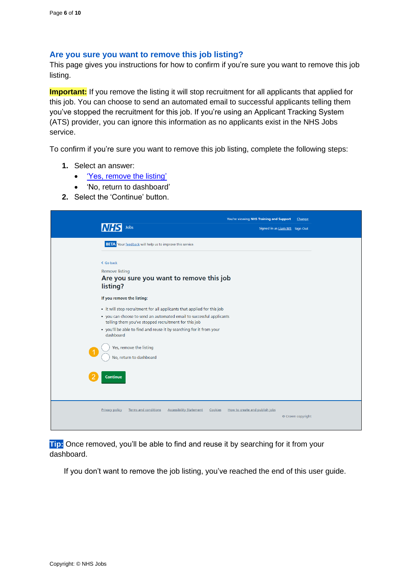#### <span id="page-5-0"></span>**Are you sure you want to remove this job listing?**

This page gives you instructions for how to confirm if you're sure you want to remove this job listing.

**Important:** If you remove the listing it will stop recruitment for all applicants that applied for this job. You can choose to send an automated email to successful applicants telling them you've stopped the recruitment for this job. If you're using an Applicant Tracking System (ATS) provider, you can ignore this information as no applicants exist in the NHS Jobs service.

To confirm if you're sure you want to remove this job listing, complete the following steps:

- **1.** Select an answer:
	- <u>['Yes, remove the listing'](#page-6-0)</u>
	- 'No, return to dashboard'
- **2.** Select the 'Continue' button.

| You're viewing NHS Training and Support<br>Jobs<br>Signed in as Liam M1 Sign Out                                                                                                                                                                                                                                                                                     | Change |
|----------------------------------------------------------------------------------------------------------------------------------------------------------------------------------------------------------------------------------------------------------------------------------------------------------------------------------------------------------------------|--------|
| <b>BETA</b> Your feedback will help us to improve this service.                                                                                                                                                                                                                                                                                                      |        |
| < Go back<br><b>Remove listing</b><br>Are you sure you want to remove this job<br>listing?                                                                                                                                                                                                                                                                           |        |
| If you remove the listing:                                                                                                                                                                                                                                                                                                                                           |        |
| • it will stop recruitment for all applicants that applied for this job<br>• you can choose to send an automated email to successful applicants<br>telling them you've stopped recruitment for this job<br>• you'll be able to find and reuse it by searching for it from your<br>dashboard<br>Yes, remove the listing<br>No, return to dashboard<br><b>Continue</b> |        |
| <b>Terms and conditions</b><br><b>Accessibility Statement</b><br>How to create and publish jobs<br><b>Privacy policy</b><br>Cookies<br>© Crown copyright                                                                                                                                                                                                             |        |

**Tip:** Once removed, you'll be able to find and reuse it by searching for it from your dashboard.

If you don't want to remove the job listing, you've reached the end of this user guide.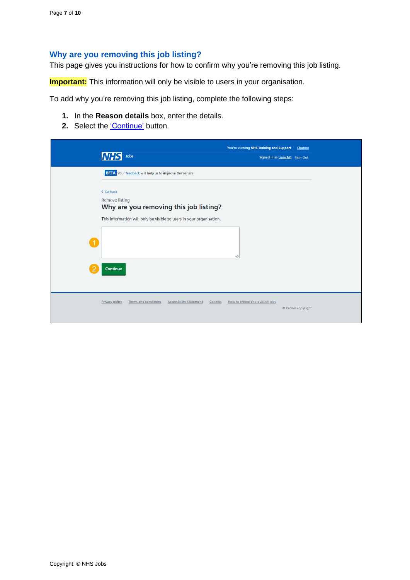## <span id="page-6-0"></span>**Why are you removing this job listing?**

This page gives you instructions for how to confirm why you're removing this job listing.

**Important:** This information will only be visible to users in your organisation.

To add why you're removing this job listing, complete the following steps:

- **1.** In the **Reason details** box, enter the details.
- **2.** Select the ['Continue'](#page-7-0) button.

| Jobs                                                            |                                                                                                                | You're viewing NHS Training and Support<br>Signed in as Liam M1 Sign Out | Change            |
|-----------------------------------------------------------------|----------------------------------------------------------------------------------------------------------------|--------------------------------------------------------------------------|-------------------|
| <b>BETA</b> Your feedback will help us to improve this service. |                                                                                                                |                                                                          |                   |
| < Go back<br><b>Remove listing</b><br>G<br>Continue             | Why are you removing this job listing?<br>This information will only be visible to users in your organisation. |                                                                          |                   |
|                                                                 |                                                                                                                |                                                                          |                   |
| <b>Terms and conditions</b><br><b>Privacy policy</b>            | <b>Accessibility Statement</b><br>Cookies                                                                      | How to create and publish jobs                                           | © Crown copyright |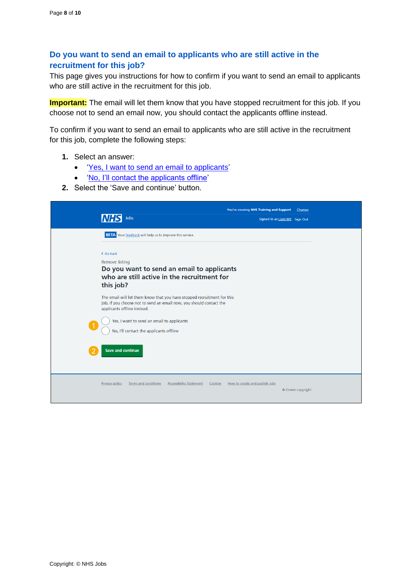## <span id="page-7-0"></span>**Do you want to send an email to applicants who are still active in the recruitment for this job?**

This page gives you instructions for how to confirm if you want to send an email to applicants who are still active in the recruitment for this job.

**Important:** The email will let them know that you have stopped recruitment for this job. If you choose not to send an email now, you should contact the applicants offline instead.

To confirm if you want to send an email to applicants who are still active in the recruitment for this job, complete the following steps:

- **1.** Select an answer:
	- ['Yes, I want to send an email to applicants'](#page-8-0)
	- 'No, [I'll contact the applicants offline'](#page-9-0)
- **2.** Select the ['Save](#page-9-0) and continue' button.

| You're viewing NHS Training and Support<br>Jobs<br>Signed in as Liam M1 Sign Out                                                                                                                                                                                                                   | Change            |  |
|----------------------------------------------------------------------------------------------------------------------------------------------------------------------------------------------------------------------------------------------------------------------------------------------------|-------------------|--|
| <b>BETA</b> Your feedback will help us to improve this service.                                                                                                                                                                                                                                    |                   |  |
| < Go back<br><b>Remove listing</b><br>Do you want to send an email to applicants<br>who are still active in the recruitment for<br>this job?                                                                                                                                                       |                   |  |
| The email will let them know that you have stopped recruitment for this<br>job. If you choose not to send an email now, you should contact the<br>applicants offline instead.<br>Yes, I want to send an email to applicants<br>No, I'll contact the applicants offline<br><b>Save and continue</b> |                   |  |
| <b>Privacy policy</b><br><b>Terms and conditions</b><br><b>Accessibility Statement</b><br>Cookies<br>How to create and publish jobs                                                                                                                                                                | © Crown copyright |  |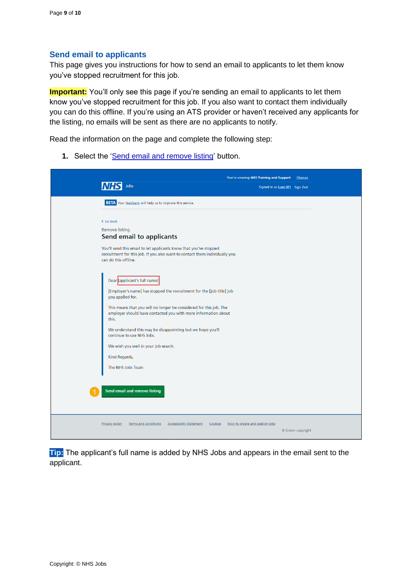## <span id="page-8-0"></span>**Send email to applicants**

This page gives you instructions for how to send an email to applicants to let them know you've stopped recruitment for this job.

**Important:** You'll only see this page if you're sending an email to applicants to let them know you've stopped recruitment for this job. If you also want to contact them individually you can do this offline. If you're using an ATS provider or haven't received any applicants for the listing, no emails will be sent as there are no applicants to notify.

Read the information on the page and complete the following step:

**1.** Select the ['Send email and remove listing'](#page-9-0) button.

| You're viewing NHS Training and Support<br>Change<br>Jobs<br>Signed in as Liam M1 Sign Out                                                               |
|----------------------------------------------------------------------------------------------------------------------------------------------------------|
| <b>BETA</b> Your feedback will help us to improve this service.                                                                                          |
| < Go back<br><b>Remove listing</b><br><b>Send email to applicants</b><br>You'll send this email to let applicants know that you've stopped               |
| recruitment for this job. If you also want to contact them individually you<br>can do this offline.                                                      |
| Dear [applicant's full name]<br>[Employer's name] has stopped the recruitment for the [job title] job<br>you applied for.                                |
| This means that you will no longer be considered for this job. The<br>employer should have contacted you with more information about<br>this.            |
| We understand this may be disappointing but we hope you'll<br>continue to use NHS Jobs.                                                                  |
| We wish you well in your job search.                                                                                                                     |
| Kind Regards,<br>The NHS Jobs Team                                                                                                                       |
| Send email and remove listing                                                                                                                            |
| <b>Terms and conditions</b><br><b>Accessibility Statement</b><br>How to create and publish jobs<br><b>Privacy policy</b><br>Cookies<br>© Crown copyright |

**Tip:** The applicant's full name is added by NHS Jobs and appears in the email sent to the applicant.